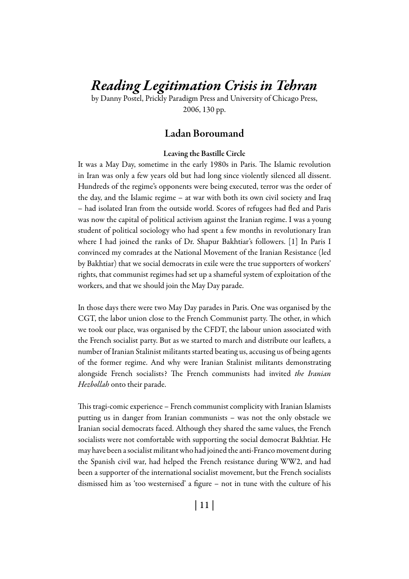# *Reading Legitimation Crisis in Tehran*

by Danny Postel, Prickly Paradigm Press and University of Chicago Press, 2006, 130 pp.

## Ladan Boroumand

#### Leaving the Bastille Circle

It was a May Day, sometime in the early 1980s in Paris. The Islamic revolution in Iran was only a few years old but had long since violently silenced all dissent. Hundreds of the regime's opponents were being executed, terror was the order of the day, and the Islamic regime – at war with both its own civil society and Iraq – had isolated Iran from the outside world. Scores of refugees had fled and Paris was now the capital of political activism against the Iranian regime. I was a young student of political sociology who had spent a few months in revolutionary Iran where I had joined the ranks of Dr. Shapur Bakhtiar's followers. [1] In Paris I convinced my comrades at the National Movement of the Iranian Resistance (led by Bakhtiar) that we social democrats in exile were the true supporters of workers' rights, that communist regimes had set up a shameful system of exploitation of the workers, and that we should join the May Day parade.

In those days there were two May Day parades in Paris. One was organised by the CGT, the labor union close to the French Communist party. The other, in which we took our place, was organised by the CFDT, the labour union associated with the French socialist party. But as we started to march and distribute our leaflets, a number of Iranian Stalinist militants started beating us, accusing us of being agents of the former regime. And why were Iranian Stalinist militants demonstrating alongside French socialists? The French communists had invited *the Iranian Hezbollah* onto their parade.

This tragi-comic experience – French communist complicity with Iranian Islamists putting us in danger from Iranian communists – was not the only obstacle we Iranian social democrats faced. Although they shared the same values, the French socialists were not comfortable with supporting the social democrat Bakhtiar. He may have been a socialist militant who had joined the anti-Franco movement during the Spanish civil war, had helped the French resistance during WW2, and had been a supporter of the international socialist movement, but the French socialists dismissed him as 'too westernised' a figure – not in tune with the culture of his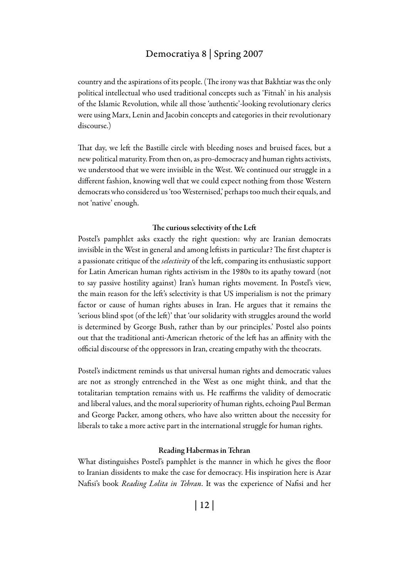## Democratiya 8 | Spring 2007

country and the aspirations of its people. (The irony was that Bakhtiar was the only political intellectual who used traditional concepts such as 'Fitnah' in his analysis of the Islamic Revolution, while all those 'authentic'-looking revolutionary clerics were using Marx, Lenin and Jacobin concepts and categories in their revolutionary discourse.)

That day, we left the Bastille circle with bleeding noses and bruised faces, but a new political maturity. From then on, as pro-democracy and human rights activists, we understood that we were invisible in the West. We continued our struggle in a different fashion, knowing well that we could expect nothing from those Western democrats who considered us 'too Westernised,' perhaps too much their equals, and not 'native' enough.

#### The curious selectivity of the Left

Postel's pamphlet asks exactly the right question: why are Iranian democrats invisible in the West in general and among leftists in particular? The first chapter is a passionate critique of the *selectivity* of the left, comparing its enthusiastic support for Latin American human rights activism in the 1980s to its apathy toward (not to say passive hostility against) Iran's human rights movement. In Postel's view, the main reason for the left's selectivity is that US imperialism is not the primary factor or cause of human rights abuses in Iran. He argues that it remains the 'serious blind spot (of the left)' that 'our solidarity with struggles around the world is determined by George Bush, rather than by our principles.' Postel also points out that the traditional anti-American rhetoric of the left has an affinity with the official discourse of the oppressors in Iran, creating empathy with the theocrats.

Postel's indictment reminds us that universal human rights and democratic values are not as strongly entrenched in the West as one might think, and that the totalitarian temptation remains with us. He reaffirms the validity of democratic and liberal values, and the moral superiority of human rights, echoing Paul Berman and George Packer, among others, who have also written about the necessity for liberals to take a more active part in the international struggle for human rights.

#### Reading Habermas in Tehran

What distinguishes Postel's pamphlet is the manner in which he gives the floor to Iranian dissidents to make the case for democracy. His inspiration here is Azar Nafisi's book *Reading Lolita in Tehran*. It was the experience of Nafisi and her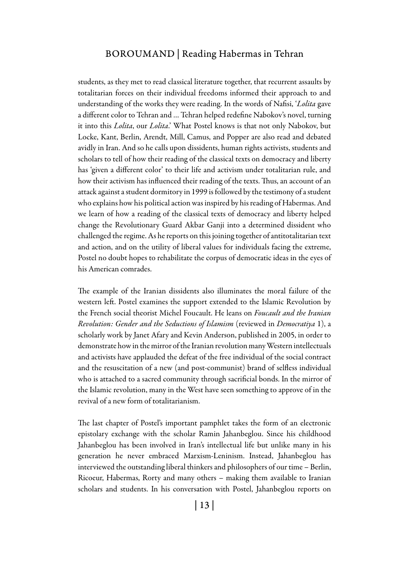### BOROUMAND | Reading Habermas in Tehran

students, as they met to read classical literature together, that recurrent assaults by totalitarian forces on their individual freedoms informed their approach to and understanding of the works they were reading. In the words of Nafisi, '*Lolita* gave a different color to Tehran and … Tehran helped redefine Nabokov's novel, turning it into this *Lolita*, our *Lolita*.' What Postel knows is that not only Nabokov, but Locke, Kant, Berlin, Arendt, Mill, Camus, and Popper are also read and debated avidly in Iran. And so he calls upon dissidents, human rights activists, students and scholars to tell of how their reading of the classical texts on democracy and liberty has 'given a different color' to their life and activism under totalitarian rule, and how their activism has influenced their reading of the texts. Thus, an account of an attack against a student dormitory in 1999 is followed by the testimony of a student who explains how his political action was inspired by his reading of Habermas. And we learn of how a reading of the classical texts of democracy and liberty helped change the Revolutionary Guard Akbar Ganji into a determined dissident who challenged the regime. As he reports on this joining together of antitotalitarian text and action, and on the utility of liberal values for individuals facing the extreme, Postel no doubt hopes to rehabilitate the corpus of democratic ideas in the eyes of his American comrades.

The example of the Iranian dissidents also illuminates the moral failure of the western left. Postel examines the support extended to the Islamic Revolution by the French social theorist Michel Foucault. He leans on *Foucault and the Iranian Revolution: Gender and the Seductions of Islamism* (reviewed in *Democratiya* 1), a scholarly work by Janet Afary and Kevin Anderson, published in 2005, in order to demonstrate how in the mirror of the Iranian revolution many Western intellectuals and activists have applauded the defeat of the free individual of the social contract and the resuscitation of a new (and post-communist) brand of selfless individual who is attached to a sacred community through sacrificial bonds. In the mirror of the Islamic revolution, many in the West have seen something to approve of in the revival of a new form of totalitarianism.

The last chapter of Postel's important pamphlet takes the form of an electronic epistolary exchange with the scholar Ramin Jahanbeglou. Since his childhood Jahanbeglou has been involved in Iran's intellectual life but unlike many in his generation he never embraced Marxism-Leninism. Instead, Jahanbeglou has interviewed the outstanding liberal thinkers and philosophers of our time – Berlin, Ricoeur, Habermas, Rorty and many others – making them available to Iranian scholars and students. In his conversation with Postel, Jahanbeglou reports on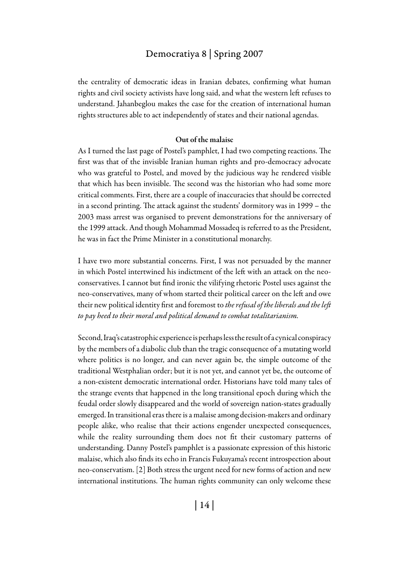## Democratiya 8 | Spring 2007

the centrality of democratic ideas in Iranian debates, confirming what human rights and civil society activists have long said, and what the western left refuses to understand. Jahanbeglou makes the case for the creation of international human rights structures able to act independently of states and their national agendas.

#### Out of the malaise

As I turned the last page of Postel's pamphlet, I had two competing reactions. The first was that of the invisible Iranian human rights and pro-democracy advocate who was grateful to Postel, and moved by the judicious way he rendered visible that which has been invisible. The second was the historian who had some more critical comments. First, there are a couple of inaccuracies that should be corrected in a second printing. The attack against the students' dormitory was in 1999 – the 2003 mass arrest was organised to prevent demonstrations for the anniversary of the 1999 attack. And though Mohammad Mossadeq is referred to as the President, he was in fact the Prime Minister in a constitutional monarchy.

I have two more substantial concerns. First, I was not persuaded by the manner in which Postel intertwined his indictment of the left with an attack on the neoconservatives. I cannot but find ironic the vilifying rhetoric Postel uses against the neo-conservatives, many of whom started their political career on the left and owe their new political identity first and foremost to *the refusal of the liberals and the left to pay heed to their moral and political demand to combat totalitarianism.*

Second, Iraq's catastrophic experience is perhaps less the result of a cynical conspiracy by the members of a diabolic club than the tragic consequence of a mutating world where politics is no longer, and can never again be, the simple outcome of the traditional Westphalian order; but it is not yet, and cannot yet be, the outcome of a non-existent democratic international order. Historians have told many tales of the strange events that happened in the long transitional epoch during which the feudal order slowly disappeared and the world of sovereign nation-states gradually emerged. In transitional eras there is a malaise among decision-makers and ordinary people alike, who realise that their actions engender unexpected consequences, while the reality surrounding them does not fit their customary patterns of understanding. Danny Postel's pamphlet is a passionate expression of this historic malaise, which also finds its echo in Francis Fukuyama's recent introspection about neo-conservatism. [2] Both stress the urgent need for new forms of action and new international institutions. The human rights community can only welcome these

| 14 |